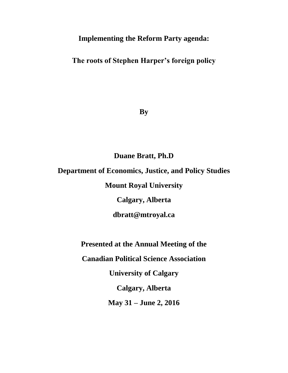# **Implementing the Reform Party agenda:**

**The roots of Stephen Harper's foreign policy**

**By**

# **Duane Bratt, Ph.D**

# **Department of Economics, Justice, and Policy Studies**

**Mount Royal University**

**Calgary, Alberta** 

**dbratt@mtroyal.ca**

**Presented at the Annual Meeting of the** 

**Canadian Political Science Association**

**University of Calgary**

**Calgary, Alberta**

**May 31 – June 2, 2016**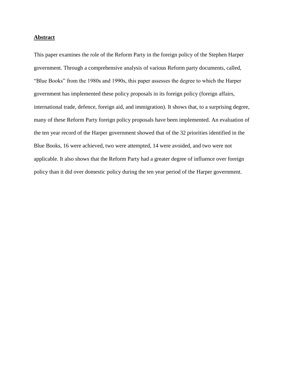## **Abstract**

This paper examines the role of the Reform Party in the foreign policy of the Stephen Harper government. Through a comprehensive analysis of various Reform party documents, called, "Blue Books" from the 1980s and 1990s, this paper assesses the degree to which the Harper government has implemented these policy proposals in its foreign policy (foreign affairs, international trade, defence, foreign aid, and immigration). It shows that, to a surprising degree, many of these Reform Party foreign policy proposals have been implemented. An evaluation of the ten year record of the Harper government showed that of the 32 priorities identified in the Blue Books, 16 were achieved, two were attempted, 14 were avoided, and two were not applicable. It also shows that the Reform Party had a greater degree of influence over foreign policy than it did over domestic policy during the ten year period of the Harper government.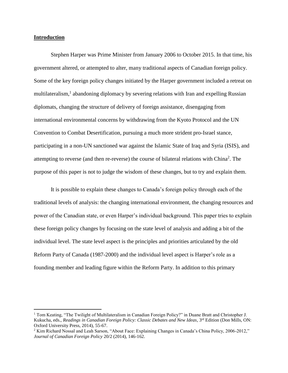## **Introduction**

 $\overline{a}$ 

Stephen Harper was Prime Minister from January 2006 to October 2015. In that time, his government altered, or attempted to alter, many traditional aspects of Canadian foreign policy. Some of the key foreign policy changes initiated by the Harper government included a retreat on multilateralism,<sup>1</sup> abandoning diplomacy by severing relations with Iran and expelling Russian diplomats, changing the structure of delivery of foreign assistance, disengaging from international environmental concerns by withdrawing from the Kyoto Protocol and the UN Convention to Combat Desertification, pursuing a much more strident pro-Israel stance, participating in a non-UN sanctioned war against the Islamic State of Iraq and Syria (ISIS), and attempting to reverse (and then re-reverse) the course of bilateral relations with China<sup>2</sup>. The purpose of this paper is not to judge the wisdom of these changes, but to try and explain them.

It is possible to explain these changes to Canada's foreign policy through each of the traditional levels of analysis: the changing international environment, the changing resources and power of the Canadian state, or even Harper's individual background. This paper tries to explain these foreign policy changes by focusing on the state level of analysis and adding a bit of the individual level. The state level aspect is the principles and priorities articulated by the old Reform Party of Canada (1987-2000) and the individual level aspect is Harper's role as a founding member and leading figure within the Reform Party. In addition to this primary

<sup>&</sup>lt;sup>1</sup> Tom Keating, "The Twilight of Multilateralism in Canadian Foreign Policy?" in Duane Bratt and Christopher J. Kukucha, eds., *Readings in Canadian Foreign Policy: Classic Debates and New Ideas*, 3rd Edition (Don Mills, ON: Oxford University Press, 2014), 55-67.

<sup>&</sup>lt;sup>2</sup> Kim Richard Nossal and Leah Sarson, "About Face: Explaining Changes in Canada's China Policy, 2006-2012," *Journal of Canadian Foreign Policy* 20/2 (2014), 146-162.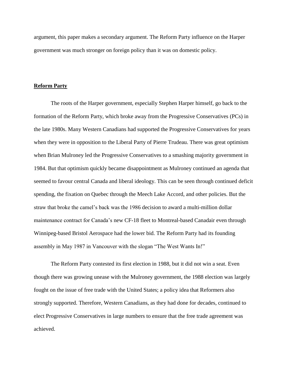argument, this paper makes a secondary argument. The Reform Party influence on the Harper government was much stronger on foreign policy than it was on domestic policy.

### **Reform Party**

The roots of the Harper government, especially Stephen Harper himself, go back to the formation of the Reform Party, which broke away from the Progressive Conservatives (PCs) in the late 1980s. Many Western Canadians had supported the Progressive Conservatives for years when they were in opposition to the Liberal Party of Pierre Trudeau. There was great optimism when Brian Mulroney led the Progressive Conservatives to a smashing majority government in 1984. But that optimism quickly became disappointment as Mulroney continued an agenda that seemed to favour central Canada and liberal ideology. This can be seen through continued deficit spending, the fixation on Quebec through the Meech Lake Accord, and other policies. But the straw that broke the camel's back was the 1986 decision to award a multi-million dollar maintenance contract for Canada's new CF-18 fleet to Montreal-based Canadair even through Winnipeg-based Bristol Aerospace had the lower bid. The Reform Party had its founding assembly in May 1987 in Vancouver with the slogan "The West Wants In!"

The Reform Party contested its first election in 1988, but it did not win a seat. Even though there was growing unease with the Mulroney government, the 1988 election was largely fought on the issue of free trade with the United States; a policy idea that Reformers also strongly supported. Therefore, Western Canadians, as they had done for decades, continued to elect Progressive Conservatives in large numbers to ensure that the free trade agreement was achieved.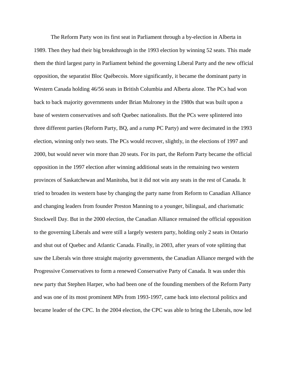The Reform Party won its first seat in Parliament through a by-election in Alberta in 1989. Then they had their big breakthrough in the 1993 election by winning 52 seats. This made them the third largest party in Parliament behind the governing Liberal Party and the new official opposition, the separatist Bloc Québecois. More significantly, it became the dominant party in Western Canada holding 46/56 seats in British Columbia and Alberta alone. The PCs had won back to back majority governments under Brian Mulroney in the 1980s that was built upon a base of western conservatives and soft Quebec nationalists. But the PCs were splintered into three different parties (Reform Party, BQ, and a rump PC Party) and were decimated in the 1993 election, winning only two seats. The PCs would recover, slightly, in the elections of 1997 and 2000, but would never win more than 20 seats. For its part, the Reform Party became the official opposition in the 1997 election after winning additional seats in the remaining two western provinces of Saskatchewan and Manitoba, but it did not win any seats in the rest of Canada. It tried to broaden its western base by changing the party name from Reform to Canadian Alliance and changing leaders from founder Preston Manning to a younger, bilingual, and charismatic Stockwell Day. But in the 2000 election, the Canadian Alliance remained the official opposition to the governing Liberals and were still a largely western party, holding only 2 seats in Ontario and shut out of Quebec and Atlantic Canada. Finally, in 2003, after years of vote splitting that saw the Liberals win three straight majority governments, the Canadian Alliance merged with the Progressive Conservatives to form a renewed Conservative Party of Canada. It was under this new party that Stephen Harper, who had been one of the founding members of the Reform Party and was one of its most prominent MPs from 1993-1997, came back into electoral politics and became leader of the CPC. In the 2004 election, the CPC was able to bring the Liberals, now led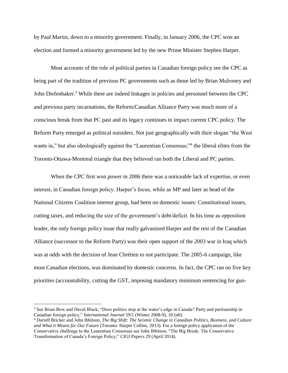by Paul Martin, down to a minority government. Finally, in January 2006, the CPC won an election and formed a minority government led by the new Prime Minister Stephen Harper.

Most accounts of the role of political parties in Canadian foreign policy see the CPC as being part of the tradition of previous PC governments such as those led by Brian Mulroney and John Diefenbaker.<sup>3</sup> While there are indeed linkages in policies and personnel between the CPC and previous party incarnations, the Reform/Canadian Alliance Party was much more of a conscious break from that PC past and its legacy continues to impact current CPC policy. The Reform Party emerged as political outsiders. Not just geographically with their slogan "the West wants in," but also ideologically against the "Laurentian Consensus;"<sup>4</sup> the liberal elites from the Toronto-Ottawa-Montreal triangle that they believed ran both the Liberal and PC parties.

When the CPC first won power in 2006 there was a noticeable lack of expertise, or even interest, in Canadian foreign policy. Harper's focus, while as MP and later as head of the National Citizens Coalition interest group, had been on domestic issues: Constitutional issues, cutting taxes, and reducing the size of the government's debt/deficit. In his time as opposition leader, the only foreign policy issue that really galvanized Harper and the rest of the Canadian Alliance (successor to the Reform Party) was their open support of the 2003 war in Iraq which was at odds with the decision of Jean Chrétien to not participate. The 2005-6 campaign, like most Canadian elections, was dominated by domestic concerns. In fact, the CPC ran on five key priorities (accountability, cutting the GST, imposing mandatory minimum sentencing for gun-

<sup>3</sup> See Brian Bow and David Black, "Does politics stop at the water's edge in Canada? Party and partisanship in Canadian foreign policy," *International Journal* 59/1 (Winter 2008-9), 10 (n6).

<sup>4</sup> Darrell Bricker and John Ibbitson, *The Big Shift: The Seismic Change in Canadian Politics, Business, and Culture and What it Means for Our Future* (Toronto: Harper Collins, 2013). For a foreign policy application of the Conservative challenge to the Laurentian Consensus see John Ibbitson, "The Big Break: The Conservative Transformation of Canada's Foreign Policy," *CIGI Papers* 29 (April 2014).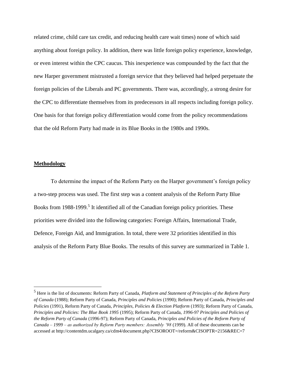related crime, child care tax credit, and reducing health care wait times) none of which said anything about foreign policy. In addition, there was little foreign policy experience, knowledge, or even interest within the CPC caucus. This inexperience was compounded by the fact that the new Harper government mistrusted a foreign service that they believed had helped perpetuate the foreign policies of the Liberals and PC governments. There was, accordingly, a strong desire for the CPC to differentiate themselves from its predecessors in all respects including foreign policy. One basis for that foreign policy differentiation would come from the policy recommendations that the old Reform Party had made in its Blue Books in the 1980s and 1990s.

### **Methodology**

 $\overline{a}$ 

To determine the impact of the Reform Party on the Harper government's foreign policy a two-step process was used. The first step was a content analysis of the Reform Party Blue Books from 1988-1999.<sup>5</sup> It identified all of the Canadian foreign policy priorities. These priorities were divided into the following categories: Foreign Affairs, International Trade, Defence, Foreign Aid, and Immigration. In total, there were 32 priorities identified in this analysis of the Reform Party Blue Books. The results of this survey are summarized in Table 1.

<sup>5</sup> Here is the list of documents: Reform Party of Canada, *Platform and Statement of Principles of the Reform Party of Canada* (1988); Reform Party of Canada, *Principles and Policies* (1990); Reform Party of Canada, *Principles and Policies* (1991), Reform Party of Canada, *Principles, Policies & Election Platform* (1993); Reform Party of Canada, *Principles and Policies: The Blue Book 1995* (1995); Reform Party of Canada, *1996-97 Principles and Policies of the Reform Party of Canada* (1996-97); Reform Party of Canada, *Principles and Policies of the Reform Party of Canada – 1999 – as authorized by Reform Party members: Assembly '98* (1999). All of these documents can be accessed at http://contentdm.ucalgary.ca/cdm4/document.php?CISOROOT=/reform&CISOPTR=2156&REC=7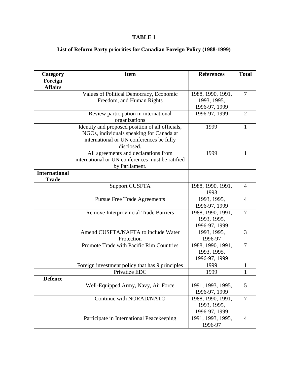## **TABLE 1**

## **List of Reform Party priorities for Canadian Foreign Policy (1988-1999)**

| Category             | <b>Item</b>                                      | <b>References</b> | <b>Total</b>   |
|----------------------|--------------------------------------------------|-------------------|----------------|
| Foreign              |                                                  |                   |                |
| <b>Affairs</b>       |                                                  |                   |                |
|                      | Values of Political Democracy, Economic          | 1988, 1990, 1991, | $\overline{7}$ |
|                      | Freedom, and Human Rights                        | 1993, 1995,       |                |
|                      |                                                  | 1996-97, 1999     |                |
|                      | Review participation in international            | 1996-97, 1999     | $\overline{2}$ |
|                      | organizations                                    |                   |                |
|                      | Identity and proposed position of all officials, | 1999              | 1              |
|                      | NGOs, individuals speaking for Canada at         |                   |                |
|                      | international or UN conferences be fully         |                   |                |
|                      | disclosed.                                       |                   |                |
|                      | All agreements and declarations from             | 1999              | 1              |
|                      | international or UN conferences must be ratified |                   |                |
|                      | by Parliament.                                   |                   |                |
| <b>International</b> |                                                  |                   |                |
| <b>Trade</b>         |                                                  |                   |                |
|                      | <b>Support CUSFTA</b>                            | 1988, 1990, 1991, | $\overline{4}$ |
|                      |                                                  | 1993              |                |
|                      | <b>Pursue Free Trade Agreements</b>              | 1993, 1995,       | $\overline{4}$ |
|                      |                                                  | 1996-97, 1999     |                |
|                      | <b>Remove Interprovincial Trade Barriers</b>     | 1988, 1990, 1991, | $\overline{7}$ |
|                      |                                                  | 1993, 1995,       |                |
|                      |                                                  | 1996-97, 1999     |                |
|                      | Amend CUSFTA/NAFTA to include Water              | 1993, 1995,       | 3              |
|                      | Protection                                       | 1996-97           |                |
|                      | Promote Trade with Pacific Rim Countries         | 1988, 1990, 1991, | $\overline{7}$ |
|                      |                                                  | 1993, 1995,       |                |
|                      |                                                  | 1996-97, 1999     |                |
|                      | Foreign investment policy that has 9 principles  | 1999              | 1              |
|                      | Privatize EDC                                    | 1999              | 1              |
| <b>Defence</b>       |                                                  |                   |                |
|                      | Well-Equipped Army, Navy, Air Force              | 1991, 1993, 1995, | 5              |
|                      |                                                  | 1996-97, 1999     |                |
|                      | Continue with NORAD/NATO                         | 1988, 1990, 1991, | $\overline{7}$ |
|                      |                                                  | 1993, 1995,       |                |
|                      |                                                  | 1996-97, 1999     |                |
|                      | Participate in International Peacekeeping        | 1991, 1993, 1995, | 4              |
|                      |                                                  | 1996-97           |                |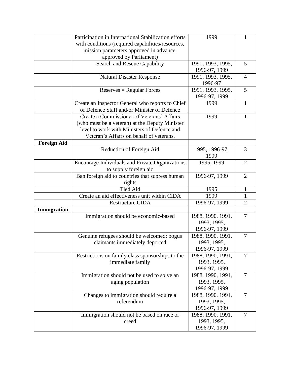|                    | Participation in International Stabilization efforts | 1999              | 1              |
|--------------------|------------------------------------------------------|-------------------|----------------|
|                    | with conditions (required capabilities/resources,    |                   |                |
|                    | mission parameters approved in advance,              |                   |                |
|                    | approved by Parliament)                              |                   |                |
|                    | Search and Rescue Capability                         | 1991, 1993, 1995, | 5              |
|                    |                                                      | 1996-97, 1999     |                |
|                    | <b>Natural Disaster Response</b>                     | 1991, 1993, 1995, | $\overline{4}$ |
|                    |                                                      | 1996-97           |                |
|                    | $Reserves = Regular Forces$                          | 1991, 1993, 1995, | 5              |
|                    |                                                      | 1996-97, 1999     |                |
|                    | Create an Inspector General who reports to Chief     | 1999              | 1              |
|                    | of Defence Staff and/or Minister of Defence          |                   |                |
|                    | Create a Commissioner of Veterans' Affairs           | 1999              | 1              |
|                    | (who must be a veteran) at the Deputy Minister       |                   |                |
|                    | level to work with Ministers of Defence and          |                   |                |
|                    | Veteran's Affairs on behalf of veterans.             |                   |                |
| <b>Foreign Aid</b> |                                                      |                   |                |
|                    | Reduction of Foreign Aid                             | 1995, 1996-97,    | 3              |
|                    |                                                      | 1999              |                |
|                    | Encourage Individuals and Private Organizations      | 1995, 1999        | $\overline{2}$ |
|                    | to supply foreign aid                                |                   |                |
|                    | Ban foreign aid to countries that supress human      | 1996-97, 1999     | $\overline{2}$ |
|                    | rights                                               |                   |                |
|                    | <b>Tied Aid</b>                                      | 1995              | 1              |
|                    | Create an aid effectiveness unit within CIDA         | 1999              | 1              |
|                    | <b>Restructure CIDA</b>                              | 1996-97, 1999     | $\overline{2}$ |
| Immigration        |                                                      |                   |                |
|                    | Immigration should be economic-based                 | 1988, 1990, 1991, | $\overline{7}$ |
|                    |                                                      | 1993, 1995,       |                |
|                    |                                                      | 1996-97, 1999     |                |
|                    | Genuine refugees should be welcomed; bogus           | 1988, 1990, 1991, | $\overline{7}$ |
|                    | claimants immediately deported                       | 1993, 1995,       |                |
|                    |                                                      | 1996-97, 1999     |                |
|                    | Restrictions on family class sponsorships to the     | 1988, 1990, 1991, | $\overline{7}$ |
|                    | immediate family                                     | 1993, 1995,       |                |
|                    |                                                      | 1996-97, 1999     |                |
|                    | Immigration should not be used to solve an           |                   | $\overline{7}$ |
|                    |                                                      | 1988, 1990, 1991, |                |
|                    | aging population                                     | 1993, 1995,       |                |
|                    |                                                      | 1996-97, 1999     |                |
|                    | Changes to immigration should require a              | 1988, 1990, 1991, | $\overline{7}$ |
|                    | referendum                                           | 1993, 1995,       |                |
|                    |                                                      | 1996-97, 1999     |                |
|                    | Immigration should not be based on race or           | 1988, 1990, 1991, | 7              |
|                    | creed                                                | 1993, 1995,       |                |
|                    |                                                      | 1996-97, 1999     |                |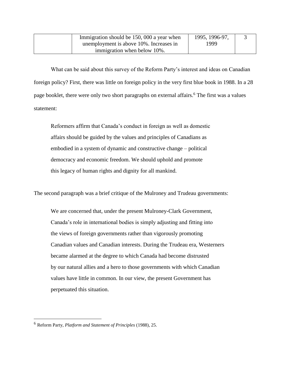| Immigration should be 150, 000 a year when | 1995, 1996-97, |  |
|--------------------------------------------|----------------|--|
| unemployment is above 10%. Increases in    | 1999           |  |
| immigration when below 10%.                |                |  |

What can be said about this survey of the Reform Party's interest and ideas on Canadian foreign policy? First, there was little on foreign policy in the very first blue book in 1988. In a 28 page booklet, there were only two short paragraphs on external affairs.<sup>6</sup> The first was a values statement:

Reformers affirm that Canada's conduct in foreign as well as domestic affairs should be guided by the values and principles of Canadians as embodied in a system of dynamic and constructive change – political democracy and economic freedom. We should uphold and promote this legacy of human rights and dignity for all mankind.

The second paragraph was a brief critique of the Mulroney and Trudeau governments:

We are concerned that, under the present Mulroney-Clark Government, Canada's role in international bodies is simply adjusting and fitting into the views of foreign governments rather than vigorously promoting Canadian values and Canadian interests. During the Trudeau era, Westerners became alarmed at the degree to which Canada had become distrusted by our natural allies and a hero to those governments with which Canadian values have little in common. In our view, the present Government has perpetuated this situation.

<sup>6</sup> Reform Party, *Platform and Statement of Principles* (1988), 25.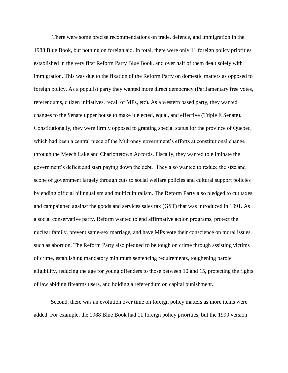There were some precise recommendations on trade, defence, and immigration in the 1988 Blue Book, but nothing on foreign aid. In total, there were only 11 foreign policy priorities established in the very first Reform Party Blue Book, and over half of them dealt solely with immigration. This was due to the fixation of the Reform Party on domestic matters as opposed to foreign policy. As a populist party they wanted more direct democracy (Parliamentary free votes, referendums, citizen initiatives, recall of MPs, etc). As a western based party, they wanted changes to the Senate upper house to make it elected, equal, and effective (Triple E Senate). Constitutionally, they were firmly opposed to granting special status for the province of Quebec, which had been a central piece of the Mulroney government's efforts at constitutional change through the Meech Lake and Charlottetown Accords. Fiscally, they wanted to eliminate the government's deficit and start paying down the debt. They also wanted to reduce the size and scope of government largely through cuts to social welfare policies and cultural support policies by ending official bilingualism and multiculturalism. The Reform Party also pledged to cut taxes and campaigned against the goods and services sales tax (GST) that was introduced in 1991. As a social conservative party, Reform wanted to end affirmative action programs, protect the nuclear family, prevent same-sex marriage, and have MPs vote their conscience on moral issues such as abortion. The Reform Party also pledged to be tough on crime through assisting victims of crime, establishing mandatory minimum sentencing requirements, toughening parole eligibility, reducing the age for young offenders to those between 10 and 15, protecting the rights of law abiding firearms users, and holding a referendum on capital punishment.

Second, there was an evolution over time on foreign policy matters as more items were added. For example, the 1988 Blue Book had 11 foreign policy priorities, but the 1999 version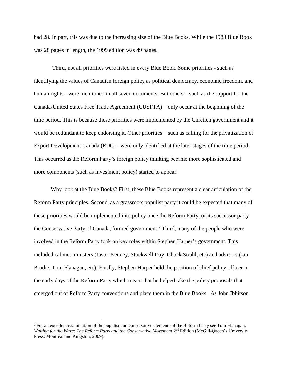had 28. In part, this was due to the increasing size of the Blue Books. While the 1988 Blue Book was 28 pages in length, the 1999 edition was 49 pages.

Third, not all priorities were listed in every Blue Book. Some priorities - such as identifying the values of Canadian foreign policy as political democracy, economic freedom, and human rights - were mentioned in all seven documents. But others – such as the support for the Canada-United States Free Trade Agreement (CUSFTA) – only occur at the beginning of the time period. This is because these priorities were implemented by the Chretien government and it would be redundant to keep endorsing it. Other priorities – such as calling for the privatization of Export Development Canada (EDC) - were only identified at the later stages of the time period. This occurred as the Reform Party's foreign policy thinking became more sophisticated and more components (such as investment policy) started to appear.

Why look at the Blue Books? First, these Blue Books represent a clear articulation of the Reform Party principles. Second, as a grassroots populist party it could be expected that many of these priorities would be implemented into policy once the Reform Party, or its successor party the Conservative Party of Canada, formed government.<sup>7</sup> Third, many of the people who were involved in the Reform Party took on key roles within Stephen Harper's government. This included cabinet ministers (Jason Kenney, Stockwell Day, Chuck Strahl, etc) and advisors (Ian Brodie, Tom Flanagan, etc). Finally, Stephen Harper held the position of chief policy officer in the early days of the Reform Party which meant that he helped take the policy proposals that emerged out of Reform Party conventions and place them in the Blue Books. As John Ibbitson

 $<sup>7</sup>$  For an excellent examination of the populist and conservative elements of the Reform Party see Tom Flanagan,</sup> Waiting for the Wave: The Reform Party and the Conservative Movement 2<sup>nd</sup> Edition (McGill-Queen's University Press: Montreal and Kingston, 2009).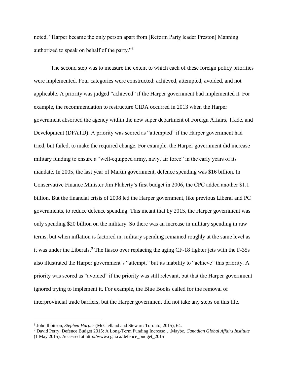noted, "Harper became the only person apart from [Reform Party leader Preston] Manning authorized to speak on behalf of the party."<sup>8</sup>

The second step was to measure the extent to which each of these foreign policy priorities were implemented. Four categories were constructed: achieved, attempted, avoided, and not applicable. A priority was judged "achieved" if the Harper government had implemented it. For example, the recommendation to restructure CIDA occurred in 2013 when the Harper government absorbed the agency within the new super department of Foreign Affairs, Trade, and Development (DFATD). A priority was scored as "attempted" if the Harper government had tried, but failed, to make the required change. For example, the Harper government did increase military funding to ensure a "well-equipped army, navy, air force" in the early years of its mandate. In 2005, the last year of Martin government, defence spending was \$16 billion. In Conservative Finance Minister Jim Flaherty's first budget in 2006, the CPC added another \$1.1 billion. But the financial crisis of 2008 led the Harper government, like previous Liberal and PC governments, to reduce defence spending. This meant that by 2015, the Harper government was only spending \$20 billion on the military. So there was an increase in military spending in raw terms, but when inflation is factored in, military spending remained roughly at the same level as it was under the Liberals.<sup>9</sup> The fiasco over replacing the aging CF-18 fighter jets with the F-35s also illustrated the Harper government's "attempt," but its inability to "achieve" this priority. A priority was scored as "avoided" if the priority was still relevant, but that the Harper government ignored trying to implement it. For example, the Blue Books called for the removal of interprovincial trade barriers, but the Harper government did not take any steps on this file.

<sup>8</sup> John Ibbitson, *Stephen Harper* (McClelland and Stewart: Toronto, 2015), 64.

<sup>9</sup> David Perry, Defence Budget 2015: A Long-Term Funding Increase….Maybe, *Canadian Global Affairs Institute*  (1 May 2015). Accessed at http://www.cgai.ca/defence\_budget\_2015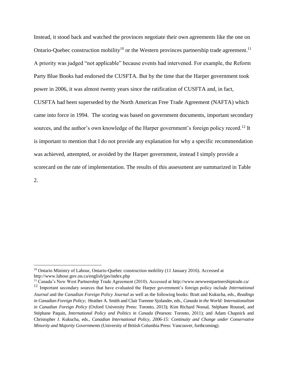Instead, it stood back and watched the provinces negotiate their own agreements like the one on Ontario-Quebec construction mobility<sup>10</sup> or the Western provinces partnership trade agreement.<sup>11</sup> A priority was judged "not applicable" because events had intervened. For example, the Reform Party Blue Books had endorsed the CUSFTA. But by the time that the Harper government took power in 2006, it was almost twenty years since the ratification of CUSFTA and, in fact, CUSFTA had been superseded by the North American Free Trade Agreement (NAFTA) which came into force in 1994. The scoring was based on government documents, important secondary sources, and the author's own knowledge of the Harper government's foreign policy record.<sup>12</sup> It is important to mention that I do not provide any explanation for why a specific recommendation was achieved, attempted, or avoided by the Harper government, instead I simply provide a scorecard on the rate of implementation. The results of this assessment are summarized in Table

2.

<sup>&</sup>lt;sup>10</sup> Ontario Ministry of Labour, Ontario-Quebec construction mobility (11 January 2016). Accessed at http://www.labour.gov.on.ca/english/jpo/index.php

<sup>11</sup> Canada's New West Partnership Trade Agreement (2010). Accessed at http://www.newwestpartnershiptrade.ca/

<sup>12</sup> Important secondary sources that have evaluated the Harper government's foreign policy include *International Journal* and the *Canadian Foreign Policy Journal* as well as the following books: Bratt and Kukucha, eds., *Readings in Canadian Foreign Policy;* Heather A. Smith and Clair Turenne Sjolander, eds., *Canada in the World: Internationalism in Canadian Foreign Policy* (Oxford University Press: Toronto, 2013); Kim Richard Nossal, Stéphane Roussel, and Stéphane Paquin, *International Policy and Politics in Canada* (Pearson: Toronto, 2011); and Adam Chapnick and Christopher J. Kukucha, eds., *Canadian International Policy, 2006-15: Continuity and Change under Conservative Minority and Majority Governments* (University of British Columbia Press: Vancouver, forthcoming).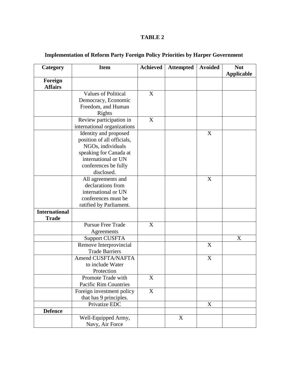## **TABLE 2**

| Category                  | <b>Item</b>                 | <b>Achieved</b> | <b>Attempted</b> | <b>Avoided</b>   | <b>Not</b>        |
|---------------------------|-----------------------------|-----------------|------------------|------------------|-------------------|
|                           |                             |                 |                  |                  | <b>Applicable</b> |
| Foreign<br><b>Affairs</b> |                             |                 |                  |                  |                   |
|                           | <b>Values of Political</b>  | X               |                  |                  |                   |
|                           | Democracy, Economic         |                 |                  |                  |                   |
|                           | Freedom, and Human          |                 |                  |                  |                   |
|                           | Rights                      |                 |                  |                  |                   |
|                           | Review participation in     | X               |                  |                  |                   |
|                           | international organizations |                 |                  |                  |                   |
|                           | Identity and proposed       |                 |                  | X                |                   |
|                           | position of all officials,  |                 |                  |                  |                   |
|                           | NGOs, individuals           |                 |                  |                  |                   |
|                           | speaking for Canada at      |                 |                  |                  |                   |
|                           | international or UN         |                 |                  |                  |                   |
|                           | conferences be fully        |                 |                  |                  |                   |
|                           | disclosed.                  |                 |                  |                  |                   |
|                           | All agreements and          |                 |                  | X                |                   |
|                           | declarations from           |                 |                  |                  |                   |
|                           | international or UN         |                 |                  |                  |                   |
|                           | conferences must be         |                 |                  |                  |                   |
|                           | ratified by Parliament.     |                 |                  |                  |                   |
| <b>International</b>      |                             |                 |                  |                  |                   |
| <b>Trade</b>              |                             |                 |                  |                  |                   |
|                           | <b>Pursue Free Trade</b>    | X               |                  |                  |                   |
|                           | Agreements                  |                 |                  |                  |                   |
|                           | <b>Support CUSFTA</b>       |                 |                  |                  | X                 |
|                           | Remove Interprovincial      |                 |                  | X                |                   |
|                           | <b>Trade Barriers</b>       |                 |                  |                  |                   |
|                           | Amend CUSFTA/NAFTA          |                 |                  | $\boldsymbol{X}$ |                   |
|                           | to include Water            |                 |                  |                  |                   |
|                           | Protection                  |                 |                  |                  |                   |
|                           | Promote Trade with          | X               |                  |                  |                   |
|                           | Pacific Rim Countries       |                 |                  |                  |                   |
|                           | Foreign investment policy   | X               |                  |                  |                   |
|                           | that has 9 principles.      |                 |                  |                  |                   |
|                           | Privatize EDC               |                 |                  | X                |                   |
| <b>Defence</b>            |                             |                 |                  |                  |                   |
|                           | Well-Equipped Army,         |                 | X                |                  |                   |
|                           | Navy, Air Force             |                 |                  |                  |                   |

## **Implementation of Reform Party Foreign Policy Priorities by Harper Government**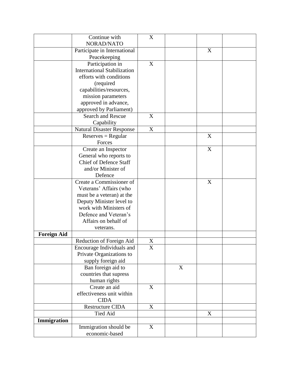|                    | Continue with                      | X                |   |   |  |
|--------------------|------------------------------------|------------------|---|---|--|
|                    | NORAD/NATO                         |                  |   |   |  |
|                    | Participate in International       |                  |   | X |  |
|                    | Peacekeeping                       |                  |   |   |  |
|                    | Participation in                   | X                |   |   |  |
|                    | <b>International Stabilization</b> |                  |   |   |  |
|                    | efforts with conditions            |                  |   |   |  |
|                    | (required                          |                  |   |   |  |
|                    | capabilities/resources,            |                  |   |   |  |
|                    | mission parameters                 |                  |   |   |  |
|                    | approved in advance,               |                  |   |   |  |
|                    | approved by Parliament)            |                  |   |   |  |
|                    | Search and Rescue                  | X                |   |   |  |
|                    | Capability                         |                  |   |   |  |
|                    | <b>Natural Disaster Response</b>   | $\boldsymbol{X}$ |   |   |  |
|                    | $Reserves = Regular$               |                  |   | X |  |
|                    | Forces                             |                  |   |   |  |
|                    | Create an Inspector                |                  |   | X |  |
|                    | General who reports to             |                  |   |   |  |
|                    | Chief of Defence Staff             |                  |   |   |  |
|                    | and/or Minister of                 |                  |   |   |  |
|                    | Defence                            |                  |   |   |  |
|                    | Create a Commissioner of           |                  |   | X |  |
|                    | Veterans' Affairs (who             |                  |   |   |  |
|                    | must be a veteran) at the          |                  |   |   |  |
|                    | Deputy Minister level to           |                  |   |   |  |
|                    | work with Ministers of             |                  |   |   |  |
|                    | Defence and Veteran's              |                  |   |   |  |
|                    | Affairs on behalf of               |                  |   |   |  |
|                    | veterans.                          |                  |   |   |  |
| <b>Foreign Aid</b> |                                    |                  |   |   |  |
|                    | Reduction of Foreign Aid           | X                |   |   |  |
|                    | Encourage Individuals and          | X                |   |   |  |
|                    | Private Organizations to           |                  |   |   |  |
|                    | supply foreign aid                 |                  |   |   |  |
|                    | Ban foreign aid to                 |                  | X |   |  |
|                    | countries that supress             |                  |   |   |  |
|                    | human rights                       |                  |   |   |  |
|                    | Create an aid                      | X                |   |   |  |
|                    | effectiveness unit within          |                  |   |   |  |
|                    | <b>CIDA</b>                        |                  |   |   |  |
|                    | Restructure CIDA                   | X                |   |   |  |
|                    | <b>Tied Aid</b>                    |                  |   | X |  |
| Immigration        |                                    |                  |   |   |  |
|                    | Immigration should be              | X                |   |   |  |
|                    | economic-based                     |                  |   |   |  |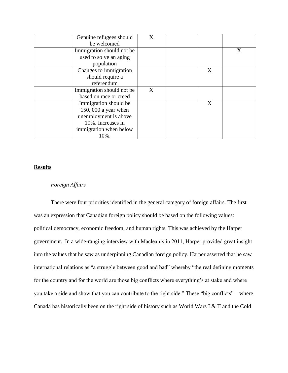| Genuine refugees should<br>be welcomed | X |   |   |
|----------------------------------------|---|---|---|
|                                        |   |   |   |
| Immigration should not be              |   |   | X |
| used to solve an aging                 |   |   |   |
| population                             |   |   |   |
| Changes to immigration                 |   | X |   |
| should require a                       |   |   |   |
| referendum                             |   |   |   |
| Immigration should not be              | X |   |   |
| based on race or creed                 |   |   |   |
| Immigration should be                  |   | X |   |
| 150, 000 a year when                   |   |   |   |
| unemployment is above                  |   |   |   |
| 10%. Increases in                      |   |   |   |
| immigration when below                 |   |   |   |
| 10%.                                   |   |   |   |

## **Results**

## *Foreign Affairs*

There were four priorities identified in the general category of foreign affairs. The first was an expression that Canadian foreign policy should be based on the following values: political democracy, economic freedom, and human rights. This was achieved by the Harper government. In a wide-ranging interview with Maclean's in 2011, Harper provided great insight into the values that he saw as underpinning Canadian foreign policy. Harper asserted that he saw international relations as "a struggle between good and bad" whereby "the real defining moments for the country and for the world are those big conflicts where everything's at stake and where you take a side and show that you can contribute to the right side." These "big conflicts" – where Canada has historically been on the right side of history such as World Wars I & II and the Cold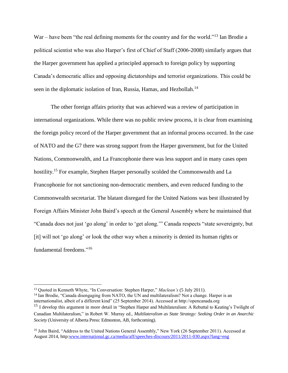War – have been "the real defining moments for the country and for the world."<sup>13</sup> Ian Brodie a political scientist who was also Harper's first of Chief of Staff (2006-2008) similarly argues that the Harper government has applied a principled approach to foreign policy by supporting Canada's democratic allies and opposing dictatorships and terrorist organizations. This could be seen in the diplomatic isolation of Iran, Russia, Hamas, and Hezbollah.<sup>14</sup>

The other foreign affairs priority that was achieved was a review of participation in international organizations. While there was no public review process, it is clear from examining the foreign policy record of the Harper government that an informal process occurred. In the case of NATO and the G7 there was strong support from the Harper government, but for the United Nations, Commonwealth, and La Francophonie there was less support and in many cases open hostility.<sup>15</sup> For example, Stephen Harper personally scolded the Commonwealth and La Francophonie for not sanctioning non-democratic members, and even reduced funding to the Commonwealth secretariat. The blatant disregard for the United Nations was best illustrated by Foreign Affairs Minister John Baird's speech at the General Assembly where he maintained that "Canada does not just 'go along' in order to 'get along.'" Canada respects "state sovereignty, but [it] will not 'go along' or look the other way when a minority is denied its human rights or fundamental freedoms."<sup>16</sup>

<sup>13</sup> Quoted in Kenneth Whyte, "In Conversation: Stephen Harper," *Maclean's* (5 July 2011).

<sup>&</sup>lt;sup>14</sup> Ian Brodie, "Canada disengaging from NATO, the UN and multilateralism? Not a change. Harper is an internationalist, albeit of a different kind" (25 September 2014). Accessed at http://opencanada.org

<sup>&</sup>lt;sup>15</sup> I develop this argument in more detail in "Stephen Harper and Multilateralism: A Rebuttal to Keating's Twilight of Canadian Multilateralism," in Robert W. Murray ed., *Multilateralism as State Strategy: Seeking Order in an Anarchic Society* (University of Alberta Press: Edmonton, AB, forthcoming).

<sup>&</sup>lt;sup>16</sup> John Baird, "Address to the United Nations General Assembly," New York (26 September 2011). Accessed at August 2014, http[:www.international.gc.ca/media/aff/speeches-discours/2011/2011-030.aspx?lang=eng](http://www.international.gc.ca/media/aff/speeches-discours/2011/2011-030.aspx?lang=eng)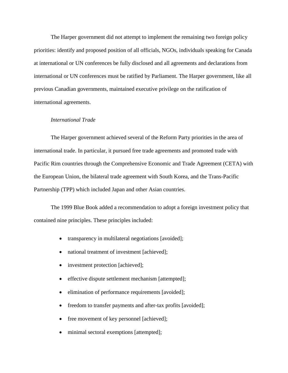The Harper government did not attempt to implement the remaining two foreign policy priorities: identify and proposed position of all officials, NGOs, individuals speaking for Canada at international or UN conferences be fully disclosed and all agreements and declarations from international or UN conferences must be ratified by Parliament. The Harper government, like all previous Canadian governments, maintained executive privilege on the ratification of international agreements.

### *International Trade*

The Harper government achieved several of the Reform Party priorities in the area of international trade. In particular, it pursued free trade agreements and promoted trade with Pacific Rim countries through the Comprehensive Economic and Trade Agreement (CETA) with the European Union, the bilateral trade agreement with South Korea, and the Trans-Pacific Partnership (TPP) which included Japan and other Asian countries.

The 1999 Blue Book added a recommendation to adopt a foreign investment policy that contained nine principles. These principles included:

- transparency in multilateral negotiations [avoided];
- national treatment of investment [achieved];
- investment protection [achieved];
- effective dispute settlement mechanism [attempted];
- elimination of performance requirements [avoided];
- freedom to transfer payments and after-tax profits [avoided];
- free movement of key personnel [achieved];
- minimal sectoral exemptions [attempted];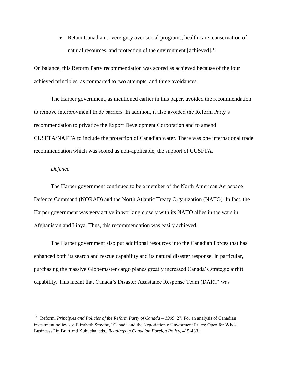Retain Canadian sovereignty over social programs, health care, conservation of natural resources, and protection of the environment [achieved].<sup>17</sup>

On balance, this Reform Party recommendation was scored as achieved because of the four achieved principles, as comparted to two attempts, and three avoidances.

The Harper government, as mentioned earlier in this paper, avoided the recommendation to remove interprovincial trade barriers. In addition, it also avoided the Reform Party's recommendation to privatize the Export Development Corporation and to amend CUSFTA/NAFTA to include the protection of Canadian water. There was one international trade recommendation which was scored as non-applicable, the support of CUSFTA.

#### *Defence*

 $\overline{a}$ 

The Harper government continued to be a member of the North American Aerospace Defence Command (NORAD) and the North Atlantic Treaty Organization (NATO). In fact, the Harper government was very active in working closely with its NATO allies in the wars in Afghanistan and Libya. Thus, this recommendation was easily achieved.

The Harper government also put additional resources into the Canadian Forces that has enhanced both its search and rescue capability and its natural disaster response. In particular, purchasing the massive Globemaster cargo planes greatly increased Canada's strategic airlift capability. This meant that Canada's Disaster Assistance Response Team (DART) was

<sup>17</sup> Reform, *Principles and Policies of the Reform Party of Canada – 1999,* 27*.* For an analysis of Canadian investment policy see Elizabeth Smythe, "Canada and the Negotiation of Investment Rules: Open for Whose Business?" in Bratt and Kukucha, eds., *Readings in Canadian Foreign Policy,* 415-433.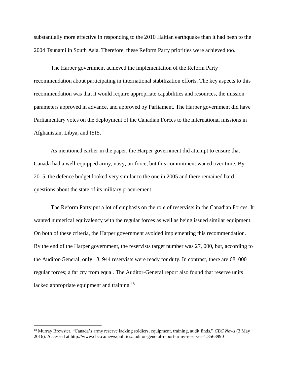substantially more effective in responding to the 2010 Haitian earthquake than it had been to the 2004 Tsunami in South Asia. Therefore, these Reform Party priorities were achieved too.

The Harper government achieved the implementation of the Reform Party recommendation about participating in international stabilization efforts. The key aspects to this recommendation was that it would require appropriate capabilities and resources, the mission parameters approved in advance, and approved by Parliament. The Harper government did have Parliamentary votes on the deployment of the Canadian Forces to the international missions in Afghanistan, Libya, and ISIS.

As mentioned earlier in the paper, the Harper government did attempt to ensure that Canada had a well-equipped army, navy, air force, but this commitment waned over time. By 2015, the defence budget looked very similar to the one in 2005 and there remained hard questions about the state of its military procurement.

The Reform Party put a lot of emphasis on the role of reservists in the Canadian Forces. It wanted numerical equivalency with the regular forces as well as being issued similar equipment. On both of these criteria, the Harper government avoided implementing this recommendation. By the end of the Harper government, the reservists target number was 27, 000, but, according to the Auditor-General, only 13, 944 reservists were ready for duty. In contrast, there are 68, 000 regular forces; a far cry from equal. The Auditor-General report also found that reserve units lacked appropriate equipment and training.<sup>18</sup>

<sup>18</sup> Murray Brewster, "Canada's army reserve lacking soldiers, equipment, training, audit finds," *CBC News* (3 May 2016). Accessed at http://www.cbc.ca/news/politics/auditor-general-report-army-reserves-1.3563990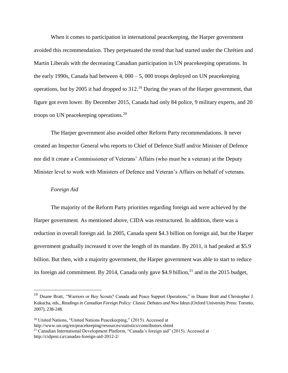When it comes to participation in international peacekeeping, the Harper government avoided this recommendation. They perpetuated the trend that had started under the Chrétien and Martin Liberals with the decreasing Canadian participation in UN peacekeeping operations. In the early 1990s, Canada had between 4, 000 – 5, 000 troops deployed on UN peacekeeping operations, but by 2005 it had dropped to 312.<sup>19</sup> During the years of the Harper government, that figure got even lower. By December 2015, Canada had only 84 police, 9 military experts, and 20 troops on UN peacekeeping operations.<sup>20</sup>

The Harper government also avoided other Reform Party recommendations. It never created an Inspector General who reports to Chief of Defence Staff and/or Minister of Defence nor did it create a Commissioner of Veterans' Affairs (who must be a veteran) at the Deputy Minister level to work with Ministers of Defence and Veteran's Affairs on behalf of veterans.

### *Foreign Aid*

 $\overline{a}$ 

The majority of the Reform Party priorities regarding foreign aid were achieved by the Harper government. As mentioned above, CIDA was restructured. In addition, there was a reduction in overall foreign aid. In 2005, Canada spent \$4.3 billion on foreign aid, but the Harper government gradually increased it over the length of its mandate. By 2011, it had peaked at \$5.9 billion. But then, with a majority government, the Harper government was able to start to reduce its foreign aid commitment. By 2014, Canada only gave \$4.9 billion, $^{21}$  and in the 2015 budget,

<sup>&</sup>lt;sup>19</sup> Duane Bratt, "Warriors or Boy Scouts? Canada and Peace Support Operations," in Duane Bratt and Christopher J. Kukucha, eds., *Readings in Canadian Foreign Policy: Classic Debates and New Ideas* (Oxford University Press: Toronto, 2007), 238-248.

 $20$  United Nations, "United Nations Peacekeeping," (2015). Accessed at

http://www.un.org/en/peacekeeping/resources/statistics/contributors.shtml

<sup>21</sup> Canadian International Development Platform, "Canada's foreign aid" (2015). Accessed at http://cidpnsi.ca/canadas-foreign-aid-2012-2/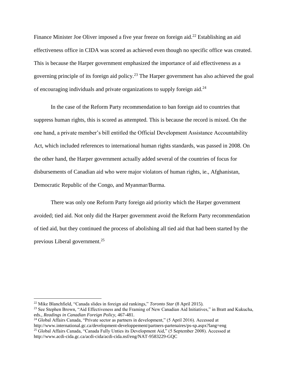Finance Minister Joe Oliver imposed a five year freeze on foreign aid.<sup>22</sup> Establishing an aid effectiveness office in CIDA was scored as achieved even though no specific office was created. This is because the Harper government emphasized the importance of aid effectiveness as a governing principle of its foreign aid policy.<sup>23</sup> The Harper government has also achieved the goal of encouraging individuals and private organizations to supply foreign aid.<sup>24</sup>

In the case of the Reform Party recommendation to ban foreign aid to countries that suppress human rights, this is scored as attempted. This is because the record is mixed. On the one hand, a private member's bill entitled the Official Development Assistance Accountability Act, which included references to international human rights standards, was passed in 2008. On the other hand, the Harper government actually added several of the countries of focus for disbursements of Canadian aid who were major violators of human rights, ie., Afghanistan, Democratic Republic of the Congo, and Myanmar/Burma.

There was only one Reform Party foreign aid priority which the Harper government avoided; tied aid. Not only did the Harper government avoid the Reform Party recommendation of tied aid, but they continued the process of abolishing all tied aid that had been started by the previous Liberal government.<sup>25</sup>

<sup>22</sup> Mike Blanchfield, "Canada slides in foreign aid rankings," *Toronto Star* (8 April 2015).

<sup>&</sup>lt;sup>23</sup> See Stephen Brown, "Aid Effectiveness and the Framing of New Canadian Aid Initiatives," in Bratt and Kukucha, eds., *Readings in Canadian Foreign Policy,* 467-481.

<sup>24</sup> Global Affairs Canada, "Private sector as partners in development," (5 April 2016). Accessed at http://www.international.gc.ca/development-developpement/partners-partenaires/ps-sp.aspx?lang=eng <sup>25</sup> Global Affairs Canada, "Canada Fully Unties its Development Aid," (5 September 2008). Accessed at http://www.acdi-cida.gc.ca/acdi-cida/acdi-cida.nsf/eng/NAT-9583229-GQC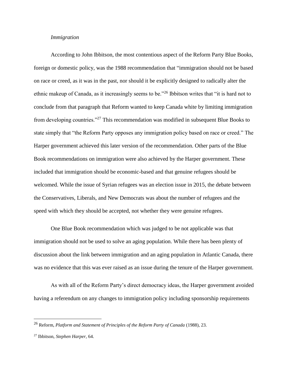## *Immigration*

According to John Ibbitson, the most contentious aspect of the Reform Party Blue Books, foreign or domestic policy, was the 1988 recommendation that "immigration should not be based on race or creed, as it was in the past, nor should it be explicitly designed to radically alter the ethnic makeup of Canada, as it increasingly seems to be."<sup>26</sup> Ibbitson writes that "it is hard not to conclude from that paragraph that Reform wanted to keep Canada white by limiting immigration from developing countries."<sup>27</sup> This recommendation was modified in subsequent Blue Books to state simply that "the Reform Party opposes any immigration policy based on race or creed." The Harper government achieved this later version of the recommendation. Other parts of the Blue Book recommendations on immigration were also achieved by the Harper government. These included that immigration should be economic-based and that genuine refugees should be welcomed. While the issue of Syrian refugees was an election issue in 2015, the debate between the Conservatives, Liberals, and New Democrats was about the number of refugees and the speed with which they should be accepted, not whether they were genuine refugees.

One Blue Book recommendation which was judged to be not applicable was that immigration should not be used to solve an aging population. While there has been plenty of discussion about the link between immigration and an aging population in Atlantic Canada, there was no evidence that this was ever raised as an issue during the tenure of the Harper government.

As with all of the Reform Party's direct democracy ideas, the Harper government avoided having a referendum on any changes to immigration policy including sponsorship requirements

<sup>26</sup> Reform, *Platform and Statement of Principles of the Reform Party of Canada* (1988), 23.

<sup>27</sup> Ibbitson, *Stephen Harper,* 64.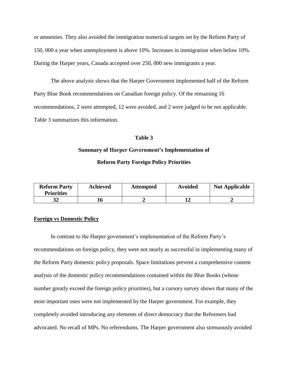or amnesties. They also avoided the immigration numerical targets set by the Reform Party of 150, 000 a year when unemployment is above 10%. Increases in immigration when below 10%. During the Harper years, Canada accepted over 250, 000 new immigrants a year.

The above analysis shows that the Harper Government implemented half of the Reform Party Blue Book recommendations on Canadian foreign policy. Of the remaining 16 recommendations, 2 were attempted, 12 were avoided, and 2 were judged to be not applicable. Table 3 summarizes this information.

## **Table 3**

## **Summary of Harper Government's Implementation of**

### **Reform Party Foreign Policy Priorities**

| <b>Reform Party</b><br><b>Priorities</b> | <b>Achieved</b> | <b>Attempted</b> | <b>Avoided</b> | <b>Not Applicable</b> |
|------------------------------------------|-----------------|------------------|----------------|-----------------------|
|                                          |                 |                  | 14             |                       |

## **Foreign vs Domestic Policy**

In contrast to the Harper government's implementation of the Reform Party's recommendations on foreign policy, they were not nearly as successful in implementing many of the Reform Party domestic policy proposals. Space limitations prevent a comprehensive content analysis of the domestic policy recommendations contained within the Blue Books (whose number greatly exceed the foreign policy priorities), but a cursory survey shows that many of the most important ones were not implemented by the Harper government. For example, they completely avoided introducing any elements of direct democracy that the Reformers had advocated. No recall of MPs. No referendums. The Harper government also strenuously avoided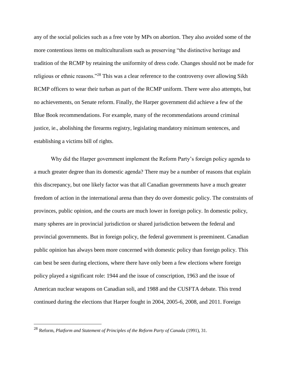any of the social policies such as a free vote by MPs on abortion. They also avoided some of the more contentious items on multiculturalism such as preserving "the distinctive heritage and tradition of the RCMP by retaining the uniformity of dress code. Changes should not be made for religious or ethnic reasons."<sup>28</sup> This was a clear reference to the controversy over allowing Sikh RCMP officers to wear their turban as part of the RCMP uniform. There were also attempts, but no achievements, on Senate reform. Finally, the Harper government did achieve a few of the Blue Book recommendations. For example, many of the recommendations around criminal justice, ie., abolishing the firearms registry, legislating mandatory minimum sentences, and establishing a victims bill of rights.

Why did the Harper government implement the Reform Party's foreign policy agenda to a much greater degree than its domestic agenda? There may be a number of reasons that explain this discrepancy, but one likely factor was that all Canadian governments have a much greater freedom of action in the international arena than they do over domestic policy. The constraints of provinces, public opinion, and the courts are much lower in foreign policy. In domestic policy, many spheres are in provincial jurisdiction or shared jurisdiction between the federal and provincial governments. But in foreign policy, the federal government is preeminent. Canadian public opinion has always been more concerned with domestic policy than foreign policy. This can best be seen during elections, where there have only been a few elections where foreign policy played a significant role: 1944 and the issue of conscription, 1963 and the issue of American nuclear weapons on Canadian soli, and 1988 and the CUSFTA debate. This trend continued during the elections that Harper fought in 2004, 2005-6, 2008, and 2011. Foreign

<sup>28</sup> Reform, *Platform and Statement of Principles of the Reform Party of Canada* (1991), 31.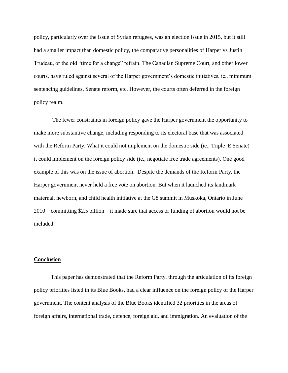policy, particularly over the issue of Syrian refugees, was an election issue in 2015, but it still had a smaller impact than domestic policy, the comparative personalities of Harper vs Justin Trudeau, or the old "time for a change" refrain. The Canadian Supreme Court, and other lower courts, have ruled against several of the Harper government's domestic initiatives, ie., minimum sentencing guidelines, Senate reform, etc. However, the courts often deferred in the foreign policy realm.

The fewer constraints in foreign policy gave the Harper government the opportunity to make more substantive change, including responding to its electoral base that was associated with the Reform Party. What it could not implement on the domestic side (ie., Triple E Senate) it could implement on the foreign policy side (ie., negotiate free trade agreements). One good example of this was on the issue of abortion. Despite the demands of the Reform Party, the Harper government never held a free vote on abortion. But when it launched its landmark maternal, newborn, and child health initiative at the G8 summit in Muskoka, Ontario in June 2010 – committing \$2.5 billion – it made sure that access or funding of abortion would not be included.

## **Conclusion**

This paper has demonstrated that the Reform Party, through the articulation of its foreign policy priorities listed in its Blue Books, had a clear influence on the foreign policy of the Harper government. The content analysis of the Blue Books identified 32 priorities in the areas of foreign affairs, international trade, defence, foreign aid, and immigration. An evaluation of the